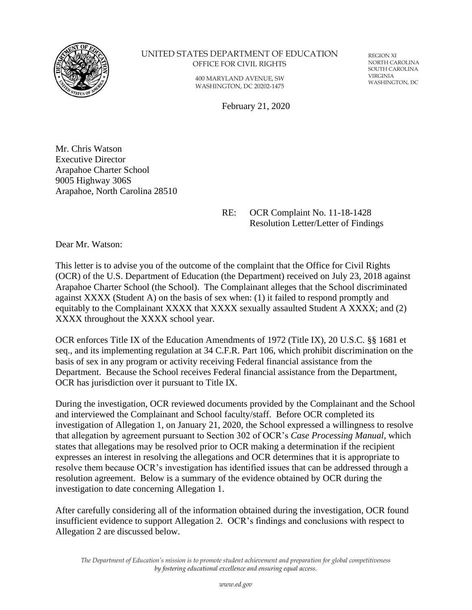

#### UNITED STATES DEPARTMENT OF EDUCATION OFFICE FOR CIVIL RIGHTS

400 MARYLAND AVENUE, SW WASHINGTON, DC 20202-1475

REGION XI NORTH CAROLINA SOUTH CAROLINA VIRGINIA WASHINGTON, DC

February 21, 2020

Mr. Chris Watson Executive Director Arapahoe Charter School 9005 Highway 306S Arapahoe, North Carolina 28510

> RE: OCR Complaint No. 11-18-1428 Resolution Letter/Letter of Findings

Dear Mr. Watson:

This letter is to advise you of the outcome of the complaint that the Office for Civil Rights (OCR) of the U.S. Department of Education (the Department) received on July 23, 2018 against Arapahoe Charter School (the School). The Complainant alleges that the School discriminated against XXXX (Student A) on the basis of sex when: (1) it failed to respond promptly and equitably to the Complainant XXXX that XXXX sexually assaulted Student A XXXX; and (2) XXXX throughout the XXXX school year.

OCR enforces Title IX of the Education Amendments of 1972 (Title IX), 20 U.S.C. §§ 1681 et seq., and its implementing regulation at 34 C.F.R. Part 106, which prohibit discrimination on the basis of sex in any program or activity receiving Federal financial assistance from the Department. Because the School receives Federal financial assistance from the Department, OCR has jurisdiction over it pursuant to Title IX.

During the investigation, OCR reviewed documents provided by the Complainant and the School and interviewed the Complainant and School faculty/staff. Before OCR completed its investigation of Allegation 1, on January 21, 2020, the School expressed a willingness to resolve that allegation by agreement pursuant to Section 302 of OCR's *Case Processing Manual*, which states that allegations may be resolved prior to OCR making a determination if the recipient expresses an interest in resolving the allegations and OCR determines that it is appropriate to resolve them because OCR's investigation has identified issues that can be addressed through a resolution agreement. Below is a summary of the evidence obtained by OCR during the investigation to date concerning Allegation 1.

After carefully considering all of the information obtained during the investigation, OCR found insufficient evidence to support Allegation 2. OCR's findings and conclusions with respect to Allegation 2 are discussed below.

*The Department of Education's mission is to promote student achievement and preparation for global competitiveness by fostering educational excellence and ensuring equal access.*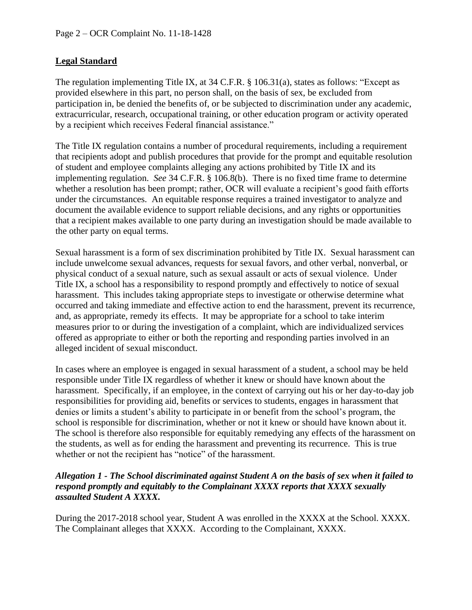## **Legal Standard**

The regulation implementing Title IX, at 34 C.F.R. § 106.31(a), states as follows: "Except as provided elsewhere in this part, no person shall, on the basis of sex, be excluded from participation in, be denied the benefits of, or be subjected to discrimination under any academic, extracurricular, research, occupational training, or other education program or activity operated by a recipient which receives Federal financial assistance."

The Title IX regulation contains a number of procedural requirements, including a requirement that recipients adopt and publish procedures that provide for the prompt and equitable resolution of student and employee complaints alleging any actions prohibited by Title IX and its implementing regulation. *See* 34 C.F.R. § 106.8(b). There is no fixed time frame to determine whether a resolution has been prompt; rather, OCR will evaluate a recipient's good faith efforts under the circumstances. An equitable response requires a trained investigator to analyze and document the available evidence to support reliable decisions, and any rights or opportunities that a recipient makes available to one party during an investigation should be made available to the other party on equal terms.

Sexual harassment is a form of sex discrimination prohibited by Title IX. Sexual harassment can include unwelcome sexual advances, requests for sexual favors, and other verbal, nonverbal, or physical conduct of a sexual nature, such as sexual assault or acts of sexual violence. Under Title IX, a school has a responsibility to respond promptly and effectively to notice of sexual harassment. This includes taking appropriate steps to investigate or otherwise determine what occurred and taking immediate and effective action to end the harassment, prevent its recurrence, and, as appropriate, remedy its effects. It may be appropriate for a school to take interim measures prior to or during the investigation of a complaint, which are individualized services offered as appropriate to either or both the reporting and responding parties involved in an alleged incident of sexual misconduct.

In cases where an employee is engaged in sexual harassment of a student, a school may be held responsible under Title IX regardless of whether it knew or should have known about the harassment. Specifically, if an employee, in the context of carrying out his or her day-to-day job responsibilities for providing aid, benefits or services to students, engages in harassment that denies or limits a student's ability to participate in or benefit from the school's program, the school is responsible for discrimination, whether or not it knew or should have known about it. The school is therefore also responsible for equitably remedying any effects of the harassment on the students, as well as for ending the harassment and preventing its recurrence. This is true whether or not the recipient has "notice" of the harassment.

### *Allegation 1 - The School discriminated against Student A on the basis of sex when it failed to respond promptly and equitably to the Complainant XXXX reports that XXXX sexually assaulted Student A XXXX.*

During the 2017-2018 school year, Student A was enrolled in the XXXX at the School. XXXX. The Complainant alleges that XXXX. According to the Complainant, XXXX.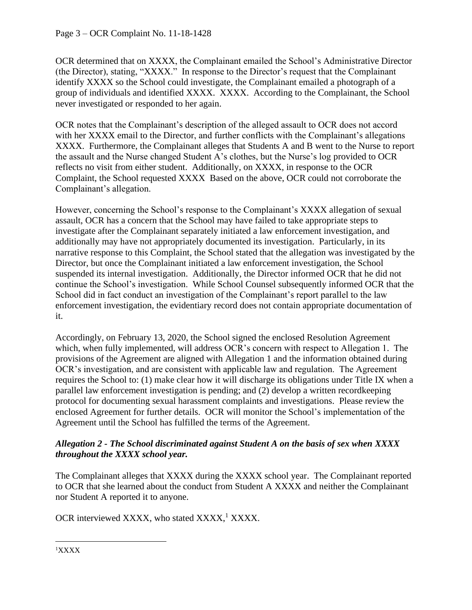OCR determined that on XXXX, the Complainant emailed the School's Administrative Director (the Director), stating, "XXXX." In response to the Director's request that the Complainant identify XXXX so the School could investigate, the Complainant emailed a photograph of a group of individuals and identified XXXX. XXXX. According to the Complainant, the School never investigated or responded to her again.

OCR notes that the Complainant's description of the alleged assault to OCR does not accord with her XXXX email to the Director, and further conflicts with the Complainant's allegations XXXX. Furthermore, the Complainant alleges that Students A and B went to the Nurse to report the assault and the Nurse changed Student A's clothes, but the Nurse's log provided to OCR reflects no visit from either student. Additionally, on XXXX, in response to the OCR Complaint, the School requested XXXX Based on the above, OCR could not corroborate the Complainant's allegation.

However, concerning the School's response to the Complainant's XXXX allegation of sexual assault, OCR has a concern that the School may have failed to take appropriate steps to investigate after the Complainant separately initiated a law enforcement investigation, and additionally may have not appropriately documented its investigation. Particularly, in its narrative response to this Complaint, the School stated that the allegation was investigated by the Director, but once the Complainant initiated a law enforcement investigation, the School suspended its internal investigation. Additionally, the Director informed OCR that he did not continue the School's investigation. While School Counsel subsequently informed OCR that the School did in fact conduct an investigation of the Complainant's report parallel to the law enforcement investigation, the evidentiary record does not contain appropriate documentation of it.

Accordingly, on February 13, 2020, the School signed the enclosed Resolution Agreement which, when fully implemented, will address OCR's concern with respect to Allegation 1. The provisions of the Agreement are aligned with Allegation 1 and the information obtained during OCR's investigation, and are consistent with applicable law and regulation. The Agreement requires the School to: (1) make clear how it will discharge its obligations under Title IX when a parallel law enforcement investigation is pending; and (2) develop a written recordkeeping protocol for documenting sexual harassment complaints and investigations. Please review the enclosed Agreement for further details. OCR will monitor the School's implementation of the Agreement until the School has fulfilled the terms of the Agreement.

### *Allegation 2 - The School discriminated against Student A on the basis of sex when XXXX throughout the XXXX school year.*

The Complainant alleges that XXXX during the XXXX school year. The Complainant reported to OCR that she learned about the conduct from Student A XXXX and neither the Complainant nor Student A reported it to anyone.

OCR interviewed XXXX, who stated XXXX,<sup>1</sup> XXXX.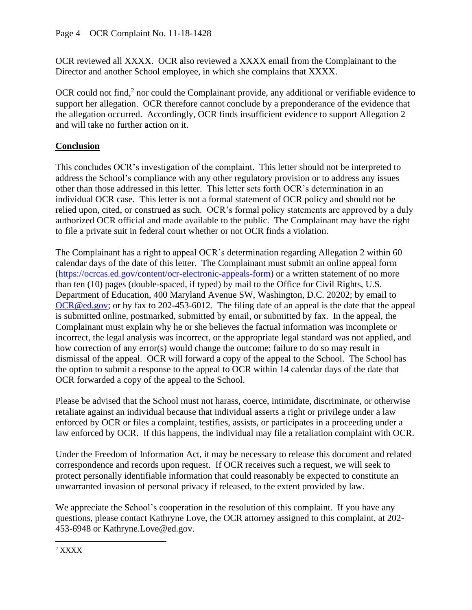OCR reviewed all XXXX. OCR also reviewed a XXXX email from the Complainant to the Director and another School employee, in which she complains that XXXX.

OCR could not find,<sup>2</sup> nor could the Complainant provide, any additional or verifiable evidence to support her allegation. OCR therefore cannot conclude by a preponderance of the evidence that the allegation occurred. Accordingly, OCR finds insufficient evidence to support Allegation 2 and will take no further action on it.

# **Conclusion**

This concludes OCR's investigation of the complaint. This letter should not be interpreted to address the School's compliance with any other regulatory provision or to address any issues other than those addressed in this letter. This letter sets forth OCR's determination in an individual OCR case. This letter is not a formal statement of OCR policy and should not be relied upon, cited, or construed as such. OCR's formal policy statements are approved by a duly authorized OCR official and made available to the public. The Complainant may have the right to file a private suit in federal court whether or not OCR finds a violation.

The Complainant has a right to appeal OCR's determination regarding Allegation 2 within 60 calendar days of the date of this letter. The Complainant must submit an online appeal form [\(https://ocrcas.ed.gov/content/ocr-electronic-appeals-form\)](https://ocrcas.ed.gov/content/ocr-electronic-appeals-form) or a written statement of no more than ten (10) pages (double-spaced, if typed) by mail to the Office for Civil Rights, U.S. Department of Education, 400 Maryland Avenue SW, Washington, D.C. 20202; by email to [OCR@ed.gov;](mailto:OCR@ed.gov) or by fax to 202-453-6012. The filing date of an appeal is the date that the appeal is submitted online, postmarked, submitted by email, or submitted by fax. In the appeal, the Complainant must explain why he or she believes the factual information was incomplete or incorrect, the legal analysis was incorrect, or the appropriate legal standard was not applied, and how correction of any error(s) would change the outcome; failure to do so may result in dismissal of the appeal. OCR will forward a copy of the appeal to the School. The School has the option to submit a response to the appeal to OCR within 14 calendar days of the date that OCR forwarded a copy of the appeal to the School.

Please be advised that the School must not harass, coerce, intimidate, discriminate, or otherwise retaliate against an individual because that individual asserts a right or privilege under a law enforced by OCR or files a complaint, testifies, assists, or participates in a proceeding under a law enforced by OCR. If this happens, the individual may file a retaliation complaint with OCR.

Under the Freedom of Information Act, it may be necessary to release this document and related correspondence and records upon request. If OCR receives such a request, we will seek to protect personally identifiable information that could reasonably be expected to constitute an unwarranted invasion of personal privacy if released, to the extent provided by law.

We appreciate the School's cooperation in the resolution of this complaint. If you have any questions, please contact Kathryne Love, the OCR attorney assigned to this complaint, at 202- 453-6948 or Kathryne.Love@ed.gov.

<sup>2</sup> XXXX